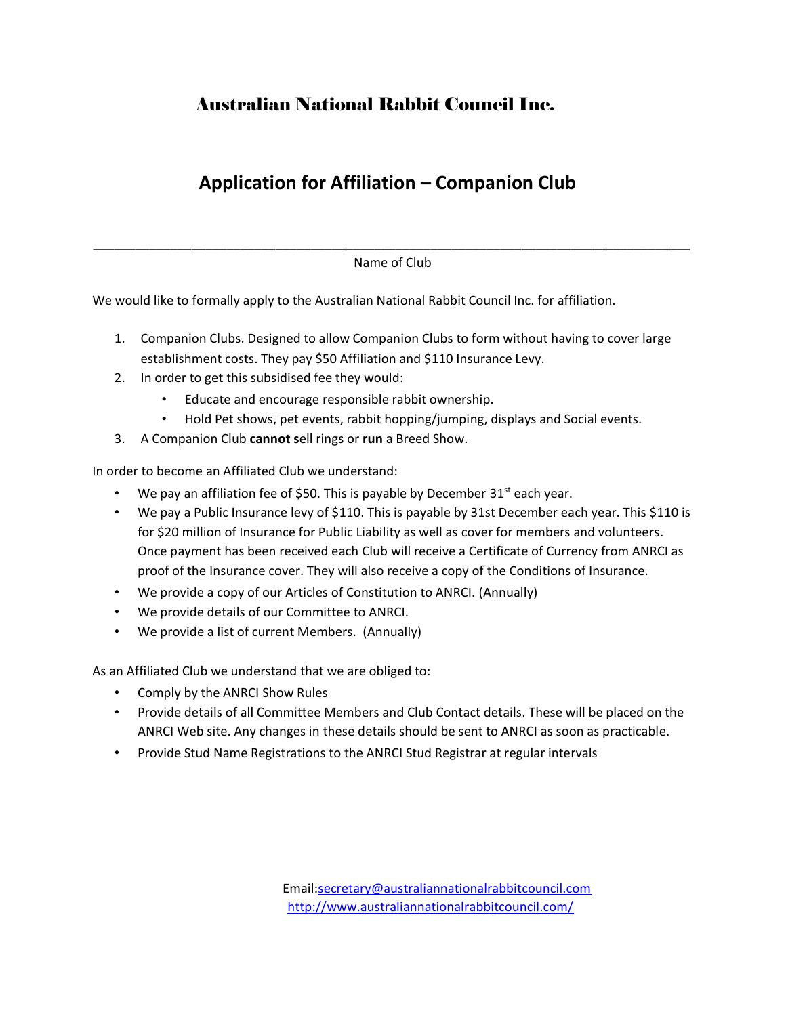## Australian National Rabbit Council Inc.

## **Application for Affiliation – Companion Club**

\_\_\_\_\_\_\_\_\_\_\_\_\_\_\_\_\_\_\_\_\_\_\_\_\_\_\_\_\_\_\_\_\_\_\_\_\_\_\_\_\_\_\_\_\_\_\_\_\_\_\_\_\_\_\_\_\_\_\_\_\_\_\_\_\_\_\_\_\_\_\_\_\_\_\_\_\_\_\_\_\_\_\_\_\_ Name of Club

We would like to formally apply to the Australian National Rabbit Council Inc. for affiliation.

- 1. Companion Clubs. Designed to allow Companion Clubs to form without having to cover large establishment costs. They pay \$50 Affiliation and \$110 Insurance Levy.
- 2. In order to get this subsidised fee they would:
	- Educate and encourage responsible rabbit ownership.
	- Hold Pet shows, pet events, rabbit hopping/jumping, displays and Social events.
- 3. A Companion Club **cannot s**ell rings or **run** a Breed Show.

In order to become an Affiliated Club we understand:

- We pay an affiliation fee of \$50. This is payable by December  $31<sup>st</sup>$  each year.
- We pay a Public Insurance levy of \$110. This is payable by 31st December each year. This \$110 is for \$20 million of Insurance for Public Liability as well as cover for members and volunteers. Once payment has been received each Club will receive a Certificate of Currency from ANRCI as proof of the Insurance cover. They will also receive a copy of the Conditions of Insurance.
- We provide a copy of our Articles of Constitution to ANRCI. (Annually)
- We provide details of our Committee to ANRCI.
- We provide a list of current Members. (Annually)

As an Affiliated Club we understand that we are obliged to:

- Comply by the ANRCI Show Rules
- Provide details of all Committee Members and Club Contact details. These will be placed on the ANRCI Web site. Any changes in these details should be sent to ANRCI as soon as practicable.
- Provide Stud Name Registrations to the ANRCI Stud Registrar at regular intervals